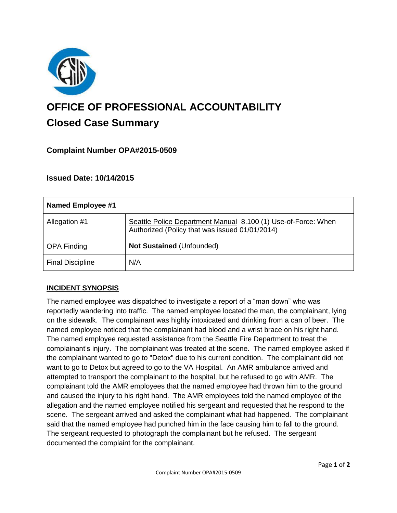

# **OFFICE OF PROFESSIONAL ACCOUNTABILITY Closed Case Summary**

## **Complaint Number OPA#2015-0509**

### **Issued Date: 10/14/2015**

| Named Employee #1       |                                                                                                                 |
|-------------------------|-----------------------------------------------------------------------------------------------------------------|
| Allegation #1           | Seattle Police Department Manual 8.100 (1) Use-of-Force: When<br>Authorized (Policy that was issued 01/01/2014) |
| <b>OPA Finding</b>      | Not Sustained (Unfounded)                                                                                       |
| <b>Final Discipline</b> | N/A                                                                                                             |

### **INCIDENT SYNOPSIS**

The named employee was dispatched to investigate a report of a "man down" who was reportedly wandering into traffic. The named employee located the man, the complainant, lying on the sidewalk. The complainant was highly intoxicated and drinking from a can of beer. The named employee noticed that the complainant had blood and a wrist brace on his right hand. The named employee requested assistance from the Seattle Fire Department to treat the complainant's injury. The complainant was treated at the scene. The named employee asked if the complainant wanted to go to "Detox" due to his current condition. The complainant did not want to go to Detox but agreed to go to the VA Hospital. An AMR ambulance arrived and attempted to transport the complainant to the hospital, but he refused to go with AMR. The complainant told the AMR employees that the named employee had thrown him to the ground and caused the injury to his right hand. The AMR employees told the named employee of the allegation and the named employee notified his sergeant and requested that he respond to the scene. The sergeant arrived and asked the complainant what had happened. The complainant said that the named employee had punched him in the face causing him to fall to the ground. The sergeant requested to photograph the complainant but he refused. The sergeant documented the complaint for the complainant.